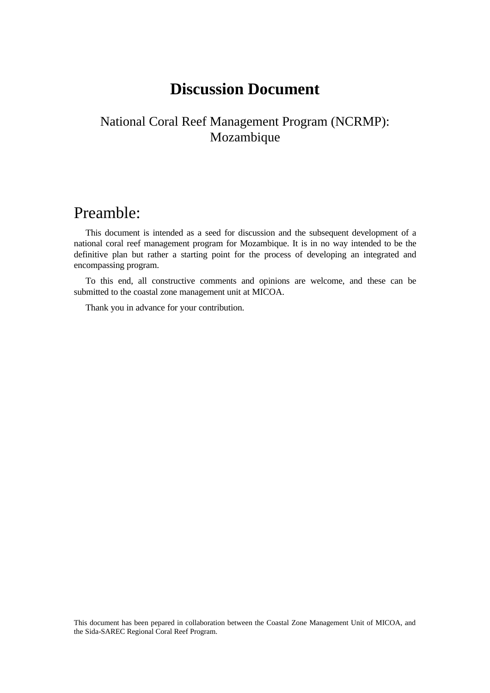# **Discussion Document**

## National Coral Reef Management Program (NCRMP): Mozambique

## Preamble:

This document is intended as a seed for discussion and the subsequent development of a national coral reef management program for Mozambique. It is in no way intended to be the definitive plan but rather a starting point for the process of developing an integrated and encompassing program.

To this end, all constructive comments and opinions are welcome, and these can be submitted to the coastal zone management unit at MICOA.

Thank you in advance for your contribution.

This document has been pepared in collaboration between the Coastal Zone Management Unit of MICOA, and the Sida-SAREC Regional Coral Reef Program.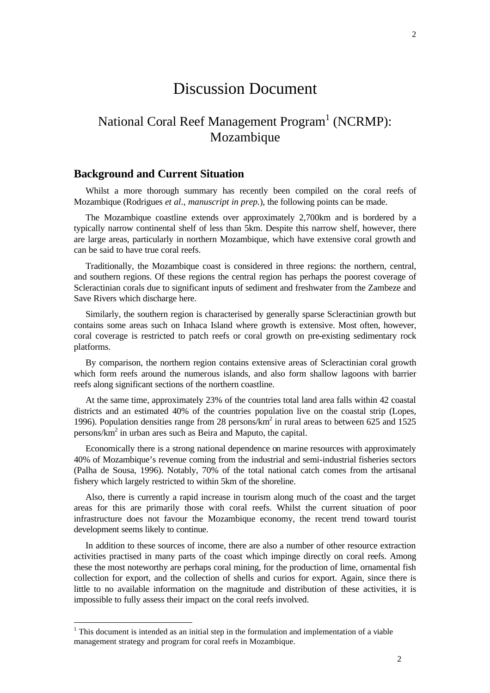## Discussion Document

## National Coral Reef Management Program<sup>1</sup> (NCRMP): Mozambique

### **Background and Current Situation**

Whilst a more thorough summary has recently been compiled on the coral reefs of Mozambique (Rodrigues *et al*., *manuscript in prep.*), the following points can be made.

The Mozambique coastline extends over approximately 2,700km and is bordered by a typically narrow continental shelf of less than 5km. Despite this narrow shelf, however, there are large areas, particularly in northern Mozambique, which have extensive coral growth and can be said to have true coral reefs.

Traditionally, the Mozambique coast is considered in three regions: the northern, central, and southern regions. Of these regions the central region has perhaps the poorest coverage of Scleractinian corals due to significant inputs of sediment and freshwater from the Zambeze and Save Rivers which discharge here.

Similarly, the southern region is characterised by generally sparse Scleractinian growth but contains some areas such on Inhaca Island where growth is extensive. Most often, however, coral coverage is restricted to patch reefs or coral growth on pre-existing sedimentary rock platforms.

By comparison, the northern region contains extensive areas of Scleractinian coral growth which form reefs around the numerous islands, and also form shallow lagoons with barrier reefs along significant sections of the northern coastline.

At the same time, approximately 23% of the countries total land area falls within 42 coastal districts and an estimated 40% of the countries population live on the coastal strip (Lopes, 1996). Population densities range from 28 persons/km<sup>2</sup> in rural areas to between 625 and 1525 persons/km<sup>2</sup> in urban ares such as Beira and Maputo, the capital.

Economically there is a strong national dependence on marine resources with approximately 40% of Mozambique's revenue coming from the industrial and semi-industrial fisheries sectors (Palha de Sousa, 1996). Notably, 70% of the total national catch comes from the artisanal fishery which largely restricted to within 5km of the shoreline.

Also, there is currently a rapid increase in tourism along much of the coast and the target areas for this are primarily those with coral reefs. Whilst the current situation of poor infrastructure does not favour the Mozambique economy, the recent trend toward tourist development seems likely to continue.

In addition to these sources of income, there are also a number of other resource extraction activities practised in many parts of the coast which impinge directly on coral reefs. Among these the most noteworthy are perhaps coral mining, for the production of lime, ornamental fish collection for export, and the collection of shells and curios for export. Again, since there is little to no available information on the magnitude and distribution of these activities, it is impossible to fully assess their impact on the coral reefs involved.

-

 $1$ <sup>1</sup> This document is intended as an initial step in the formulation and implementation of a viable management strategy and program for coral reefs in Mozambique.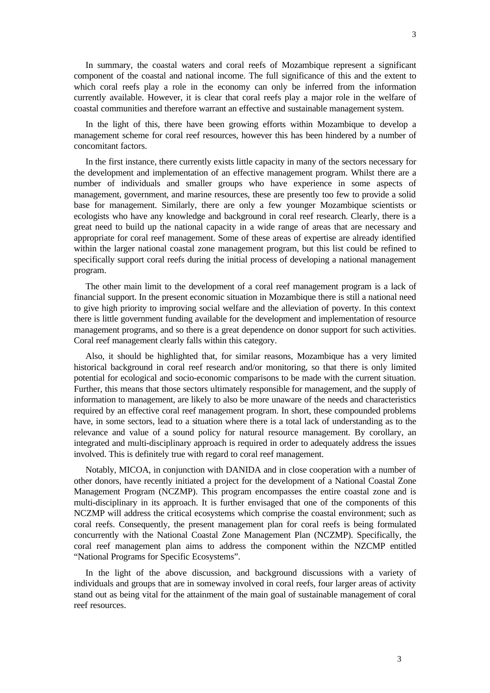In summary, the coastal waters and coral reefs of Mozambique represent a significant component of the coastal and national income. The full significance of this and the extent to which coral reefs play a role in the economy can only be inferred from the information currently available. However, it is clear that coral reefs play a major role in the welfare of coastal communities and therefore warrant an effective and sustainable management system.

In the light of this, there have been growing efforts within Mozambique to develop a management scheme for coral reef resources, however this has been hindered by a number of concomitant factors.

In the first instance, there currently exists little capacity in many of the sectors necessary for the development and implementation of an effective management program. Whilst there are a number of individuals and smaller groups who have experience in some aspects of management, government, and marine resources, these are presently too few to provide a solid base for management. Similarly, there are only a few younger Mozambique scientists or ecologists who have any knowledge and background in coral reef research. Clearly, there is a great need to build up the national capacity in a wide range of areas that are necessary and appropriate for coral reef management. Some of these areas of expertise are already identified within the larger national coastal zone management program, but this list could be refined to specifically support coral reefs during the initial process of developing a national management program.

The other main limit to the development of a coral reef management program is a lack of financial support. In the present economic situation in Mozambique there is still a national need to give high priority to improving social welfare and the alleviation of poverty. In this context there is little government funding available for the development and implementation of resource management programs, and so there is a great dependence on donor support for such activities. Coral reef management clearly falls within this category.

Also, it should be highlighted that, for similar reasons, Mozambique has a very limited historical background in coral reef research and/or monitoring, so that there is only limited potential for ecological and socio-economic comparisons to be made with the current situation. Further, this means that those sectors ultimately responsible for management, and the supply of information to management, are likely to also be more unaware of the needs and characteristics required by an effective coral reef management program. In short, these compounded problems have, in some sectors, lead to a situation where there is a total lack of understanding as to the relevance and value of a sound policy for natural resource management. By corollary, an integrated and multi-disciplinary approach is required in order to adequately address the issues involved. This is definitely true with regard to coral reef management.

Notably, MICOA, in conjunction with DANIDA and in close cooperation with a number of other donors, have recently initiated a project for the development of a National Coastal Zone Management Program (NCZMP). This program encompasses the entire coastal zone and is multi-disciplinary in its approach. It is further envisaged that one of the components of this NCZMP will address the critical ecosystems which comprise the coastal environment; such as coral reefs. Consequently, the present management plan for coral reefs is being formulated concurrently with the National Coastal Zone Management Plan (NCZMP). Specifically, the coral reef management plan aims to address the component within the NZCMP entitled "National Programs for Specific Ecosystems".

In the light of the above discussion, and background discussions with a variety of individuals and groups that are in someway involved in coral reefs, four larger areas of activity stand out as being vital for the attainment of the main goal of sustainable management of coral reef resources.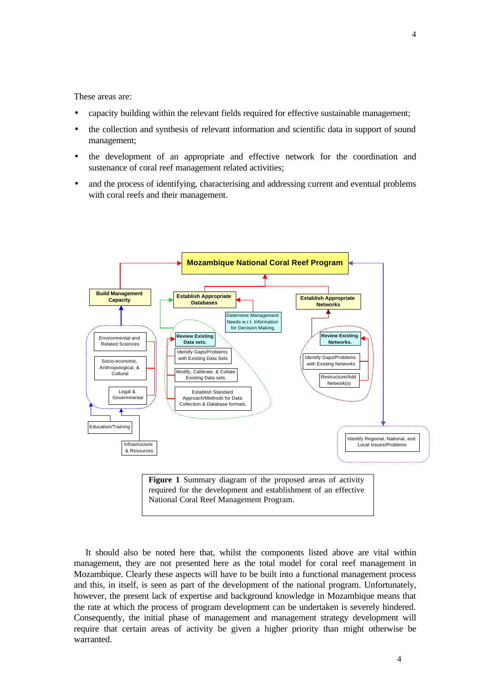These areas are:

- capacity building within the relevant fields required for effective sustainable management;
- the collection and synthesis of relevant information and scientific data in support of sound management;
- the development of an appropriate and effective network for the coordination and sustenance of coral reef management related activities;
- and the process of identifying, characterising and addressing current and eventual problems with coral reefs and their management.



National Coral Reef Management Program.

It should also be noted here that, whilst the components listed above are vital within management, they are not presented here as the total model for coral reef management in Mozambique. Clearly these aspects will have to be built into a functional management process and this, in itself, is seen as part of the development of the national program. Unfortunately, however, the present lack of expertise and background knowledge in Mozambique means that the rate at which the process of program development can be undertaken is severely hindered. Consequently, the initial phase of management and management strategy development will require that certain areas of activity be given a higher priority than might otherwise be warranted.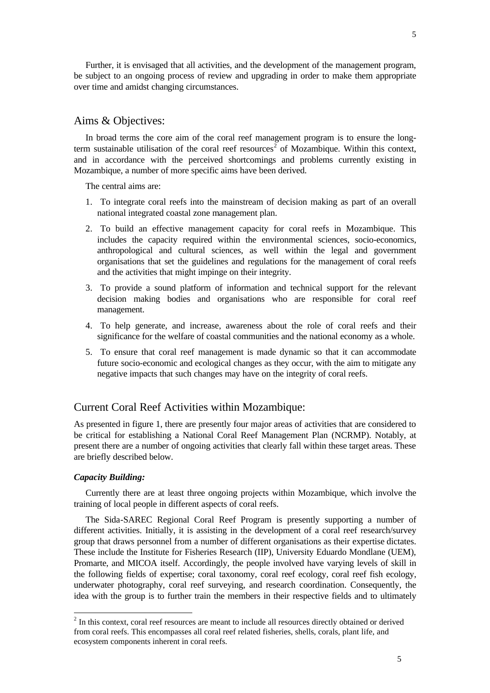5

Further, it is envisaged that all activities, and the development of the management program, be subject to an ongoing process of review and upgrading in order to make them appropriate over time and amidst changing circumstances.

### Aims & Objectives:

In broad terms the core aim of the coral reef management program is to ensure the longterm sustainable utilisation of the coral reef resources<sup>2</sup> of Mozambique. Within this context, and in accordance with the perceived shortcomings and problems currently existing in Mozambique, a number of more specific aims have been derived.

The central aims are:

- 1. To integrate coral reefs into the mainstream of decision making as part of an overall national integrated coastal zone management plan.
- 2. To build an effective management capacity for coral reefs in Mozambique. This includes the capacity required within the environmental sciences, socio-economics, anthropological and cultural sciences, as well within the legal and government organisations that set the guidelines and regulations for the management of coral reefs and the activities that might impinge on their integrity.
- 3. To provide a sound platform of information and technical support for the relevant decision making bodies and organisations who are responsible for coral reef management.
- 4. To help generate, and increase, awareness about the role of coral reefs and their significance for the welfare of coastal communities and the national economy as a whole.
- 5. To ensure that coral reef management is made dynamic so that it can accommodate future socio-economic and ecological changes as they occur, with the aim to mitigate any negative impacts that such changes may have on the integrity of coral reefs.

### Current Coral Reef Activities within Mozambique:

As presented in figure 1, there are presently four major areas of activities that are considered to be critical for establishing a National Coral Reef Management Plan (NCRMP). Notably, at present there are a number of ongoing activities that clearly fall within these target areas. These are briefly described below.

#### *Capacity Building:*

-

Currently there are at least three ongoing projects within Mozambique, which involve the training of local people in different aspects of coral reefs.

The Sida-SAREC Regional Coral Reef Program is presently supporting a number of different activities. Initially, it is assisting in the development of a coral reef research/survey group that draws personnel from a number of different organisations as their expertise dictates. These include the Institute for Fisheries Research (IIP), University Eduardo Mondlane (UEM), Promarte, and MICOA itself. Accordingly, the people involved have varying levels of skill in the following fields of expertise; coral taxonomy, coral reef ecology, coral reef fish ecology, underwater photography, coral reef surveying, and research coordination. Consequently, the idea with the group is to further train the members in their respective fields and to ultimately

 $2$  In this context, coral reef resources are meant to include all resources directly obtained or derived from coral reefs. This encompasses all coral reef related fisheries, shells, corals, plant life, and ecosystem components inherent in coral reefs.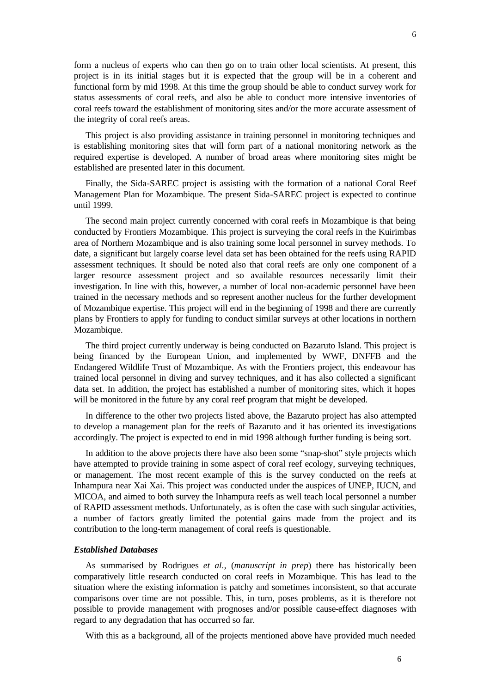form a nucleus of experts who can then go on to train other local scientists. At present, this project is in its initial stages but it is expected that the group will be in a coherent and functional form by mid 1998. At this time the group should be able to conduct survey work for status assessments of coral reefs, and also be able to conduct more intensive inventories of coral reefs toward the establishment of monitoring sites and/or the more accurate assessment of the integrity of coral reefs areas.

This project is also providing assistance in training personnel in monitoring techniques and is establishing monitoring sites that will form part of a national monitoring network as the required expertise is developed. A number of broad areas where monitoring sites might be established are presented later in this document.

Finally, the Sida-SAREC project is assisting with the formation of a national Coral Reef Management Plan for Mozambique. The present Sida-SAREC project is expected to continue until 1999.

The second main project currently concerned with coral reefs in Mozambique is that being conducted by Frontiers Mozambique. This project is surveying the coral reefs in the Kuirimbas area of Northern Mozambique and is also training some local personnel in survey methods. To date, a significant but largely coarse level data set has been obtained for the reefs using RAPID assessment techniques. It should be noted also that coral reefs are only one component of a larger resource assessment project and so available resources necessarily limit their investigation. In line with this, however, a number of local non-academic personnel have been trained in the necessary methods and so represent another nucleus for the further development of Mozambique expertise. This project will end in the beginning of 1998 and there are currently plans by Frontiers to apply for funding to conduct similar surveys at other locations in northern Mozambique.

The third project currently underway is being conducted on Bazaruto Island. This project is being financed by the European Union, and implemented by WWF, DNFFB and the Endangered Wildlife Trust of Mozambique. As with the Frontiers project, this endeavour has trained local personnel in diving and survey techniques, and it has also collected a significant data set. In addition, the project has established a number of monitoring sites, which it hopes will be monitored in the future by any coral reef program that might be developed.

In difference to the other two projects listed above, the Bazaruto project has also attempted to develop a management plan for the reefs of Bazaruto and it has oriented its investigations accordingly. The project is expected to end in mid 1998 although further funding is being sort.

In addition to the above projects there have also been some "snap-shot" style projects which have attempted to provide training in some aspect of coral reef ecology, surveying techniques, or management. The most recent example of this is the survey conducted on the reefs at Inhampura near Xai Xai. This project was conducted under the auspices of UNEP, IUCN, and MICOA, and aimed to both survey the Inhampura reefs as well teach local personnel a number of RAPID assessment methods. Unfortunately, as is often the case with such singular activities, a number of factors greatly limited the potential gains made from the project and its contribution to the long-term management of coral reefs is questionable.

#### *Established Databases*

As summarised by Rodrigues *et al*., (*manuscript in prep*) there has historically been comparatively little research conducted on coral reefs in Mozambique. This has lead to the situation where the existing information is patchy and sometimes inconsistent, so that accurate comparisons over time are not possible. This, in turn, poses problems, as it is therefore not possible to provide management with prognoses and/or possible cause-effect diagnoses with regard to any degradation that has occurred so far.

With this as a background, all of the projects mentioned above have provided much needed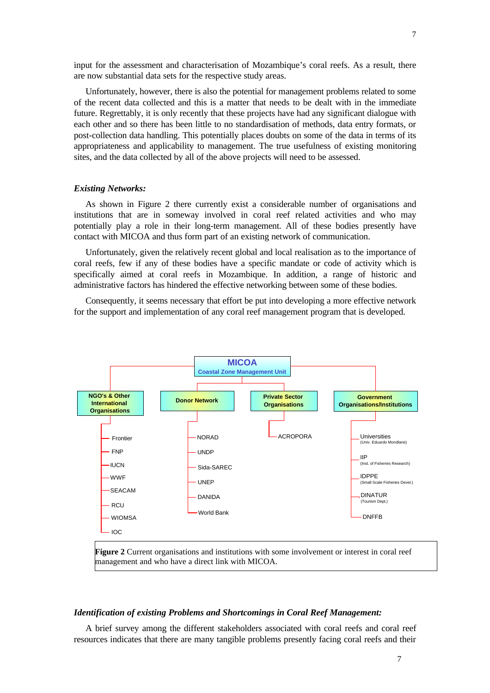input for the assessment and characterisation of Mozambique's coral reefs. As a result, there are now substantial data sets for the respective study areas.

Unfortunately, however, there is also the potential for management problems related to some of the recent data collected and this is a matter that needs to be dealt with in the immediate future. Regrettably, it is only recently that these projects have had any significant dialogue with each other and so there has been little to no standardisation of methods, data entry formats, or post-collection data handling. This potentially places doubts on some of the data in terms of its appropriateness and applicability to management. The true usefulness of existing monitoring sites, and the data collected by all of the above projects will need to be assessed.

#### *Existing Networks:*

As shown in Figure 2 there currently exist a considerable number of organisations and institutions that are in someway involved in coral reef related activities and who may potentially play a role in their long-term management. All of these bodies presently have contact with MICOA and thus form part of an existing network of communication.

Unfortunately, given the relatively recent global and local realisation as to the importance of coral reefs, few if any of these bodies have a specific mandate or code of activity which is specifically aimed at coral reefs in Mozambique. In addition, a range of historic and administrative factors has hindered the effective networking between some of these bodies.

Consequently, it seems necessary that effort be put into developing a more effective network for the support and implementation of any coral reef management program that is developed.



**Figure 2** Current organisations and institutions with some involvement or interest in coral reef management and who have a direct link with MICOA.

#### *Identification of existing Problems and Shortcomings in Coral Reef Management:*

A brief survey among the different stakeholders associated with coral reefs and coral reef resources indicates that there are many tangible problems presently facing coral reefs and their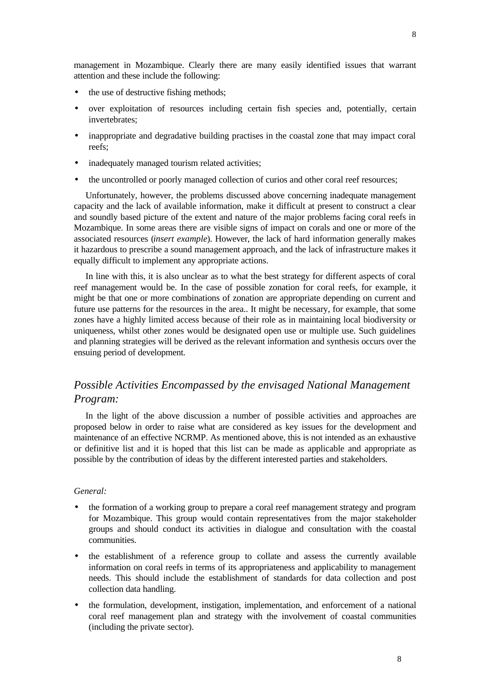management in Mozambique. Clearly there are many easily identified issues that warrant attention and these include the following:

- the use of destructive fishing methods;
- over exploitation of resources including certain fish species and, potentially, certain invertebrates;
- inappropriate and degradative building practises in the coastal zone that may impact coral reefs;
- inadequately managed tourism related activities;
- the uncontrolled or poorly managed collection of curios and other coral reef resources;

Unfortunately, however, the problems discussed above concerning inadequate management capacity and the lack of available information, make it difficult at present to construct a clear and soundly based picture of the extent and nature of the major problems facing coral reefs in Mozambique. In some areas there are visible signs of impact on corals and one or more of the associated resources (*insert example*). However, the lack of hard information generally makes it hazardous to prescribe a sound management approach, and the lack of infrastructure makes it equally difficult to implement any appropriate actions.

In line with this, it is also unclear as to what the best strategy for different aspects of coral reef management would be. In the case of possible zonation for coral reefs, for example, it might be that one or more combinations of zonation are appropriate depending on current and future use patterns for the resources in the area.. It might be necessary, for example, that some zones have a highly limited access because of their role as in maintaining local biodiversity or uniqueness, whilst other zones would be designated open use or multiple use. Such guidelines and planning strategies will be derived as the relevant information and synthesis occurs over the ensuing period of development.

## *Possible Activities Encompassed by the envisaged National Management Program:*

In the light of the above discussion a number of possible activities and approaches are proposed below in order to raise what are considered as key issues for the development and maintenance of an effective NCRMP. As mentioned above, this is not intended as an exhaustive or definitive list and it is hoped that this list can be made as applicable and appropriate as possible by the contribution of ideas by the different interested parties and stakeholders.

#### *General:*

- the formation of a working group to prepare a coral reef management strategy and program for Mozambique. This group would contain representatives from the major stakeholder groups and should conduct its activities in dialogue and consultation with the coastal communities.
- the establishment of a reference group to collate and assess the currently available information on coral reefs in terms of its appropriateness and applicability to management needs. This should include the establishment of standards for data collection and post collection data handling.
- the formulation, development, instigation, implementation, and enforcement of a national coral reef management plan and strategy with the involvement of coastal communities (including the private sector).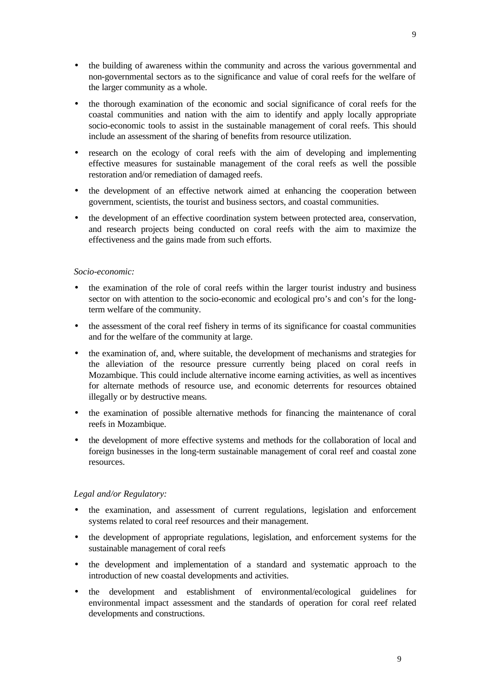- the building of awareness within the community and across the various governmental and non-governmental sectors as to the significance and value of coral reefs for the welfare of the larger community as a whole.
- the thorough examination of the economic and social significance of coral reefs for the coastal communities and nation with the aim to identify and apply locally appropriate socio-economic tools to assist in the sustainable management of coral reefs. This should include an assessment of the sharing of benefits from resource utilization.
- research on the ecology of coral reefs with the aim of developing and implementing effective measures for sustainable management of the coral reefs as well the possible restoration and/or remediation of damaged reefs.
- the development of an effective network aimed at enhancing the cooperation between government, scientists, the tourist and business sectors, and coastal communities.
- the development of an effective coordination system between protected area, conservation, and research projects being conducted on coral reefs with the aim to maximize the effectiveness and the gains made from such efforts.

#### *Socio-economic:*

- the examination of the role of coral reefs within the larger tourist industry and business sector on with attention to the socio-economic and ecological pro's and con's for the longterm welfare of the community.
- the assessment of the coral reef fishery in terms of its significance for coastal communities and for the welfare of the community at large.
- the examination of, and, where suitable, the development of mechanisms and strategies for the alleviation of the resource pressure currently being placed on coral reefs in Mozambique. This could include alternative income earning activities, as well as incentives for alternate methods of resource use, and economic deterrents for resources obtained illegally or by destructive means.
- the examination of possible alternative methods for financing the maintenance of coral reefs in Mozambique.
- the development of more effective systems and methods for the collaboration of local and foreign businesses in the long-term sustainable management of coral reef and coastal zone resources.

#### *Legal and/or Regulatory:*

- the examination, and assessment of current regulations, legislation and enforcement systems related to coral reef resources and their management.
- the development of appropriate regulations, legislation, and enforcement systems for the sustainable management of coral reefs
- the development and implementation of a standard and systematic approach to the introduction of new coastal developments and activities.
- the development and establishment of environmental/ecological guidelines for environmental impact assessment and the standards of operation for coral reef related developments and constructions.